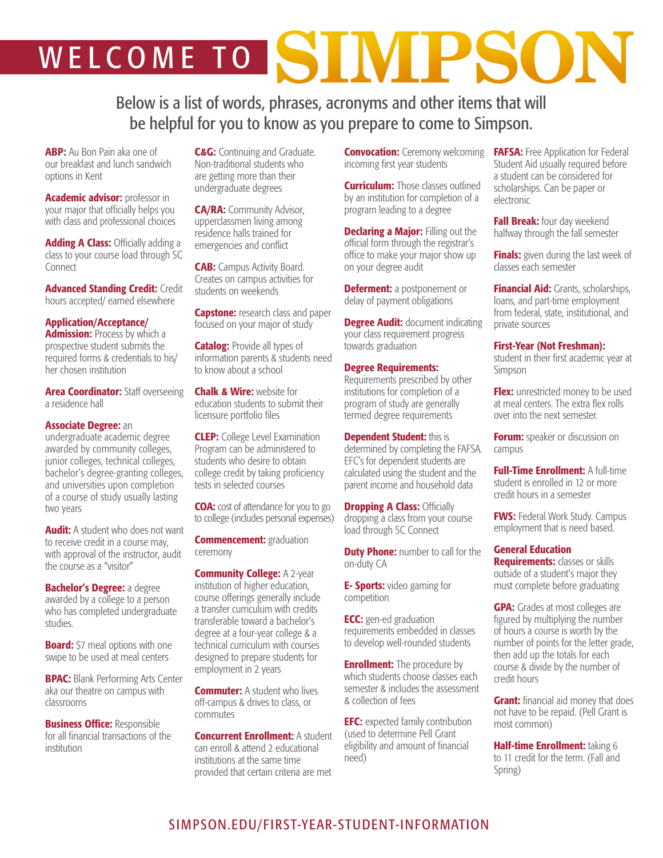# WELCOME TO SINIPSON

Below is a list of words, phrases, acronyms and other items that will be helpful for you to know as you prepare to come to Simpson.

ABP: Au Bon Pain aka one of our breakfast and lunch sandwich options in Kent

Academic advisor: professor in your major that officially helps you with class and professional choices

Adding A Class: Officially adding a class to your course load through SC Connect

Advanced Standing Credit: Credit hours accepted/ earned elsewhere

# Application/Acceptance/

**Admission:** Process by which a prospective student submits the required forms & credentials to his/ her chosen institution

**Area Coordinator:** Staff overseeing a residence hall

## Associate Degree: an

undergraduate academic degree awarded by community colleges, junior colleges, technical colleges, bachelor's degree-granting colleges, and universities upon completion of a course of study usually lasting two years

**Audit:** A student who does not want to receive credit in a course may, with approval of the instructor, audit the course as a "visitor"

**Bachelor's Degree: a degree** awarded by a college to a person who has completed undergraduate studies.

**Board:** \$7 meal options with one swipe to be used at meal centers

**BPAC:** Blank Performing Arts Center aka our theatre on campus with classrooms

**Business Office: Responsible** for all financial transactions of the institution

**C&G:** Continuing and Graduate. Non-traditional students who are getting more than their undergraduate degrees

CA/RA: Community Advisor, upperclassmen living among residence halls trained for emergencies and conflict

**CAB:** Campus Activity Board. Creates on campus activities for students on weekends

**Capstone:** research class and paper focused on your major of study

**Catalog:** Provide all types of information parents & students need to know about a school

**Chalk & Wire: website for** education students to submit their licensure portfolio files

**CLEP:** College Level Examination Program can be administered to students who desire to obtain college credit by taking proficiency tests in selected courses

**COA:** cost of attendance for you to go to college (includes personal expenses)

**Commencement: graduation** ceremony

**Community College: A 2-year** institution of higher education, course offerings generally include a transfer curriculum with credits transferable toward a bachelor's degree at a four-year college & a technical curriculum with courses designed to prepare students for employment in 2 years

**Commuter:** A student who lives off-campus & drives to class, or commutes

Concurrent Enrollment: A student can enroll & attend 2 educational institutions at the same time provided that certain criteria are met

**Convocation:** Ceremony welcoming incoming first year students

**Curriculum:** Those classes outlined by an institution for completion of a program leading to a degree

**Declaring a Major: Filling out the** official form through the registrar's office to make your major show up on your degree audit

**Deferment:** a postponement or delay of payment obligations

**Degree Audit:** document indicating your class requirement progress towards graduation

Degree Requirements: Requirements prescribed by other institutions for completion of a program of study are generally termed degree requirements

**Dependent Student: this is** determined by completing the FAFSA. EFC's for dependent students are calculated using the student and the parent income and household data

**Dropping A Class: Officially** dropping a class from your course load through SC Connect

**Duty Phone:** number to call for the on-duty CA

**E- Sports:** video gaming for competition

**ECC:** gen-ed graduation requirements embedded in classes to develop well-rounded students

**Enrollment:** The procedure by which students choose classes each semester & includes the assessment & collection of fees

**EFC:** expected family contribution (used to determine Pell Grant eligibility and amount of financial need)

**FAFSA:** Free Application for Federal Student Aid usually required before a student can be considered for scholarships. Can be paper or electronic

Fall Break: four day weekend halfway through the fall semester

**Finals:** given during the last week of classes each semester

**Financial Aid:** Grants, scholarships, loans, and part-time employment from federal, state, institutional, and private sources

### First-Year (Not Freshman):

student in their first academic year at Simpson

Flex: unrestricted money to be used at meal centers. The extra flex rolls over into the next semester.

**Forum:** speaker or discussion on campus

**Full-Time Enrollment: A full-time** student is enrolled in 12 or more credit hours in a semester

**FWS:** Federal Work Study. Campus employment that is need based.

## General Education

**Requirements: classes or skills** outside of a student's major they must complete before graduating

**GPA:** Grades at most colleges are figured by multiplying the number of hours a course is worth by the number of points for the letter grade, then add up the totals for each course & divide by the number of credit hours

**Grant:** financial aid money that does not have to be repaid. (Pell Grant is most common)

Half-time Enrollment: taking 6 to 11 credit for the term. (Fall and Spring)